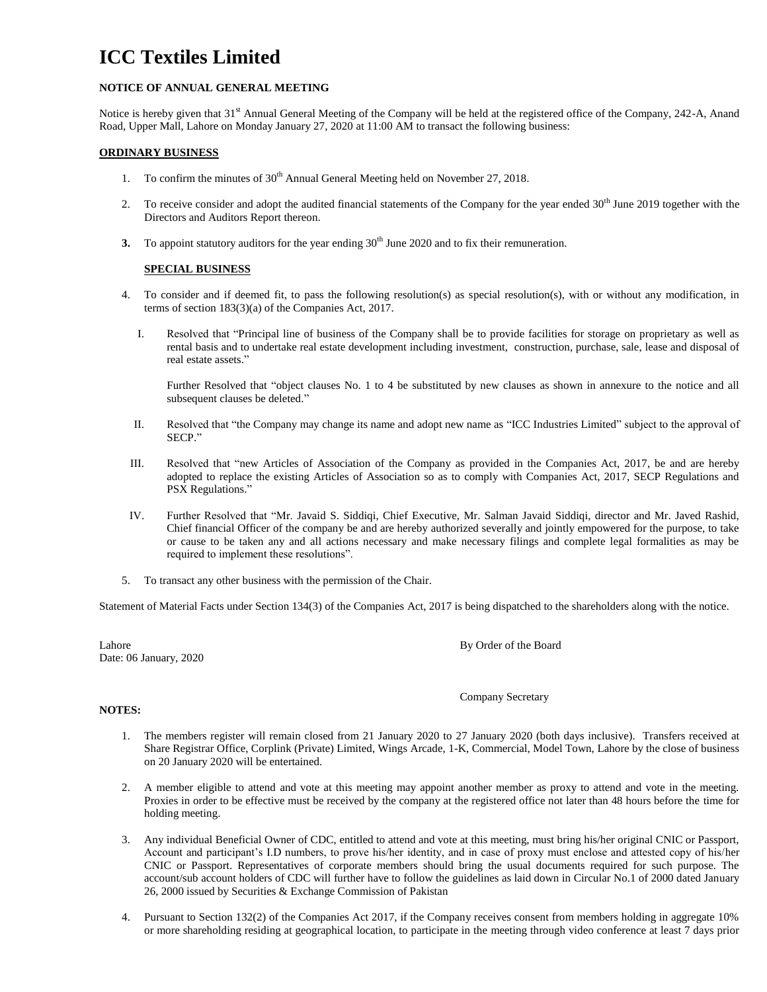# **ICC Textiles Limited**

## **NOTICE OF ANNUAL GENERAL MEETING**

Notice is hereby given that 31<sup>st</sup> Annual General Meeting of the Company will be held at the registered office of the Company, 242-A, Anand Road, Upper Mall, Lahore on Monday January 27, 2020 at 11:00 AM to transact the following business:

### **ORDINARY BUSINESS**

- 1. To confirm the minutes of 30<sup>th</sup> Annual General Meeting held on November 27, 2018.
- 2. To receive consider and adopt the audited financial statements of the Company for the year ended 30<sup>th</sup> June 2019 together with the Directors and Auditors Report thereon.
- **3.** To appoint statutory auditors for the year ending 30<sup>th</sup> June 2020 and to fix their remuneration.

## **SPECIAL BUSINESS**

- 4. To consider and if deemed fit, to pass the following resolution(s) as special resolution(s), with or without any modification, in terms of section 183(3)(a) of the Companies Act, 2017.
	- I. Resolved that "Principal line of business of the Company shall be to provide facilities for storage on proprietary as well as rental basis and to undertake real estate development including investment, construction, purchase, sale, lease and disposal of real estate assets."

Further Resolved that "object clauses No. 1 to 4 be substituted by new clauses as shown in annexure to the notice and all subsequent clauses be deleted."

- II. Resolved that "the Company may change its name and adopt new name as "ICC Industries Limited" subject to the approval of SECP."
- III. Resolved that "new Articles of Association of the Company as provided in the Companies Act, 2017, be and are hereby adopted to replace the existing Articles of Association so as to comply with Companies Act, 2017, SECP Regulations and PSX Regulations."
- IV. Further Resolved that "Mr. Javaid S. Siddiqi, Chief Executive, Mr. Salman Javaid Siddiqi, director and Mr. Javed Rashid, Chief financial Officer of the company be and are hereby authorized severally and jointly empowered for the purpose, to take or cause to be taken any and all actions necessary and make necessary filings and complete legal formalities as may be required to implement these resolutions".
- 5. To transact any other business with the permission of the Chair.

Statement of Material Facts under Section 134(3) of the Companies Act, 2017 is being dispatched to the shareholders along with the notice.

Date: 06 January, 2020

Lahore By Order of the Board

### Company Secretary

### **NOTES:**

- 1. The members register will remain closed from 21 January 2020 to 27 January 2020 (both days inclusive). Transfers received at Share Registrar Office, Corplink (Private) Limited, Wings Arcade, 1-K, Commercial, Model Town, Lahore by the close of business on 20 January 2020 will be entertained.
- 2. A member eligible to attend and vote at this meeting may appoint another member as proxy to attend and vote in the meeting. Proxies in order to be effective must be received by the company at the registered office not later than 48 hours before the time for holding meeting.
- 3. Any individual Beneficial Owner of CDC, entitled to attend and vote at this meeting, must bring his/her original CNIC or Passport, Account and participant's I.D numbers, to prove his/her identity, and in case of proxy must enclose and attested copy of his/her CNIC or Passport. Representatives of corporate members should bring the usual documents required for such purpose. The account/sub account holders of CDC will further have to follow the guidelines as laid down in Circular No.1 of 2000 dated January 26, 2000 issued by Securities & Exchange Commission of Pakistan
- 4. Pursuant to Section 132(2) of the Companies Act 2017, if the Company receives consent from members holding in aggregate 10% or more shareholding residing at geographical location, to participate in the meeting through video conference at least 7 days prior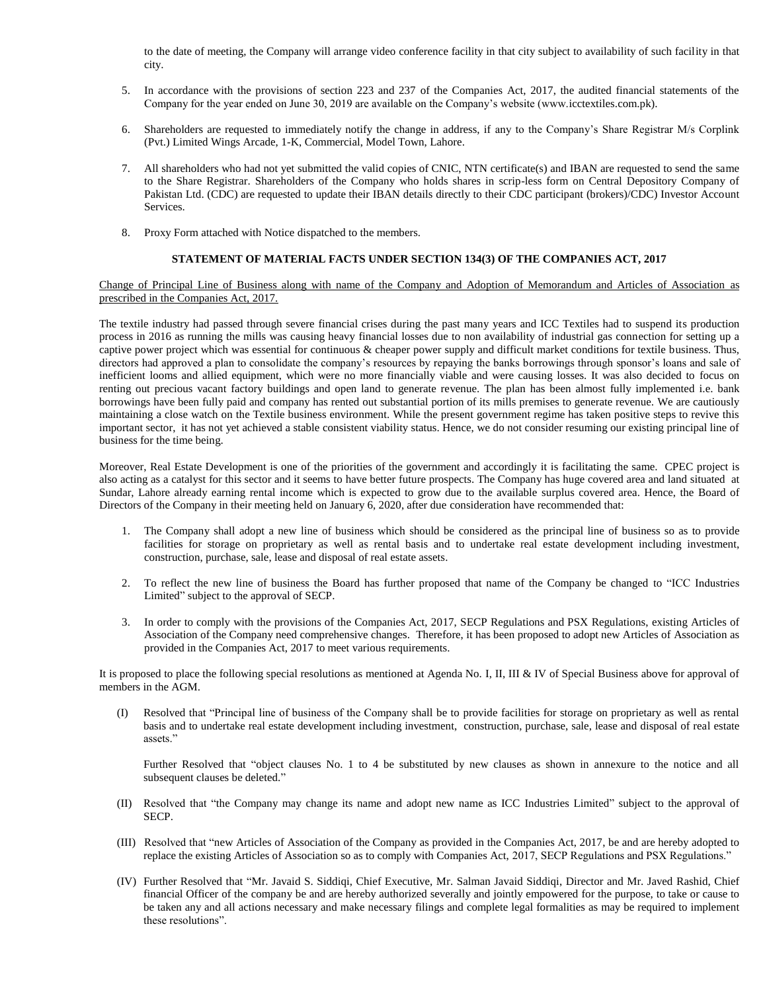to the date of meeting, the Company will arrange video conference facility in that city subject to availability of such facility in that city.

- 5. In accordance with the provisions of section 223 and 237 of the Companies Act, 2017, the audited financial statements of the Company for the year ended on June 30, 2019 are available on the Company's website (www.icctextiles.com.pk).
- 6. Shareholders are requested to immediately notify the change in address, if any to the Company's Share Registrar M/s Corplink (Pvt.) Limited Wings Arcade, 1-K, Commercial, Model Town, Lahore.
- 7. All shareholders who had not yet submitted the valid copies of CNIC, NTN certificate(s) and IBAN are requested to send the same to the Share Registrar. Shareholders of the Company who holds shares in scrip-less form on Central Depository Company of Pakistan Ltd. (CDC) are requested to update their IBAN details directly to their CDC participant (brokers)/CDC) Investor Account Services.
- 8. Proxy Form attached with Notice dispatched to the members.

## **STATEMENT OF MATERIAL FACTS UNDER SECTION 134(3) OF THE COMPANIES ACT, 2017**

Change of Principal Line of Business along with name of the Company and Adoption of Memorandum and Articles of Association as prescribed in the Companies Act, 2017.

The textile industry had passed through severe financial crises during the past many years and ICC Textiles had to suspend its production process in 2016 as running the mills was causing heavy financial losses due to non availability of industrial gas connection for setting up a captive power project which was essential for continuous & cheaper power supply and difficult market conditions for textile business. Thus, directors had approved a plan to consolidate the company's resources by repaying the banks borrowings through sponsor's loans and sale of inefficient looms and allied equipment, which were no more financially viable and were causing losses. It was also decided to focus on renting out precious vacant factory buildings and open land to generate revenue. The plan has been almost fully implemented i.e. bank borrowings have been fully paid and company has rented out substantial portion of its mills premises to generate revenue. We are cautiously maintaining a close watch on the Textile business environment. While the present government regime has taken positive steps to revive this important sector, it has not yet achieved a stable consistent viability status. Hence, we do not consider resuming our existing principal line of business for the time being.

Moreover, Real Estate Development is one of the priorities of the government and accordingly it is facilitating the same. CPEC project is also acting as a catalyst for this sector and it seems to have better future prospects. The Company has huge covered area and land situated at Sundar, Lahore already earning rental income which is expected to grow due to the available surplus covered area. Hence, the Board of Directors of the Company in their meeting held on January 6, 2020, after due consideration have recommended that:

- 1. The Company shall adopt a new line of business which should be considered as the principal line of business so as to provide facilities for storage on proprietary as well as rental basis and to undertake real estate development including investment, construction, purchase, sale, lease and disposal of real estate assets.
- 2. To reflect the new line of business the Board has further proposed that name of the Company be changed to "ICC Industries Limited" subject to the approval of SECP.
- 3. In order to comply with the provisions of the Companies Act, 2017, SECP Regulations and PSX Regulations, existing Articles of Association of the Company need comprehensive changes. Therefore, it has been proposed to adopt new Articles of Association as provided in the Companies Act, 2017 to meet various requirements.

It is proposed to place the following special resolutions as mentioned at Agenda No. I, II, III & IV of Special Business above for approval of members in the AGM.

(I) Resolved that "Principal line of business of the Company shall be to provide facilities for storage on proprietary as well as rental basis and to undertake real estate development including investment, construction, purchase, sale, lease and disposal of real estate assets."

Further Resolved that "object clauses No. 1 to 4 be substituted by new clauses as shown in annexure to the notice and all subsequent clauses be deleted."

- (II) Resolved that "the Company may change its name and adopt new name as ICC Industries Limited" subject to the approval of SECP.
- (III) Resolved that "new Articles of Association of the Company as provided in the Companies Act, 2017, be and are hereby adopted to replace the existing Articles of Association so as to comply with Companies Act, 2017, SECP Regulations and PSX Regulations."
- (IV) Further Resolved that "Mr. Javaid S. Siddiqi, Chief Executive, Mr. Salman Javaid Siddiqi, Director and Mr. Javed Rashid, Chief financial Officer of the company be and are hereby authorized severally and jointly empowered for the purpose, to take or cause to be taken any and all actions necessary and make necessary filings and complete legal formalities as may be required to implement these resolutions".